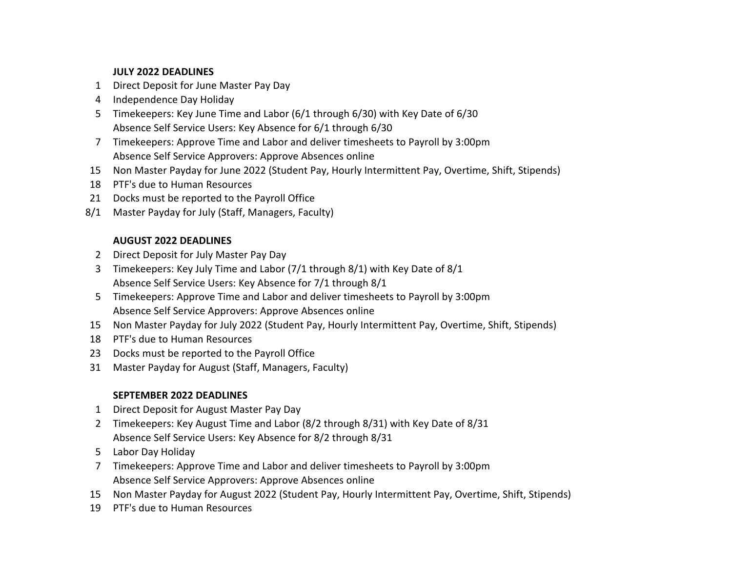#### **JULY 2022 DEADLINES**

- Direct Deposit for June Master Pay Day
- Independence Day Holiday
- Timekeepers: Key June Time and Labor (6/1 through 6/30) with Key Date of 6/30 Absence Self Service Users: Key Absence for 6/1 through 6/30
- Timekeepers: Approve Time and Labor and deliver timesheets to Payroll by 3:00pm Absence Self Service Approvers: Approve Absences online
- Non Master Payday for June 2022 (Student Pay, Hourly Intermittent Pay, Overtime, Shift, Stipends)
- PTF's due to Human Resources
- Docks must be reported to the Payroll Office
- 8/1 Master Payday for July (Staff, Managers, Faculty)

### **AUGUST 2022 DEADLINES**

- Direct Deposit for July Master Pay Day
- Timekeepers: Key July Time and Labor (7/1 through 8/1) with Key Date of 8/1 Absence Self Service Users: Key Absence for 7/1 through 8/1
- Timekeepers: Approve Time and Labor and deliver timesheets to Payroll by 3:00pm Absence Self Service Approvers: Approve Absences online
- Non Master Payday for July 2022 (Student Pay, Hourly Intermittent Pay, Overtime, Shift, Stipends)
- PTF's due to Human Resources
- Docks must be reported to the Payroll Office
- Master Payday for August (Staff, Managers, Faculty)

### **SEPTEMBER 2022 DEADLINES**

- Direct Deposit for August Master Pay Day
- Timekeepers: Key August Time and Labor (8/2 through 8/31) with Key Date of 8/31 Absence Self Service Users: Key Absence for 8/2 through 8/31
- Labor Day Holiday
- Timekeepers: Approve Time and Labor and deliver timesheets to Payroll by 3:00pm Absence Self Service Approvers: Approve Absences online
- Non Master Payday for August 2022 (Student Pay, Hourly Intermittent Pay, Overtime, Shift, Stipends)
- PTF's due to Human Resources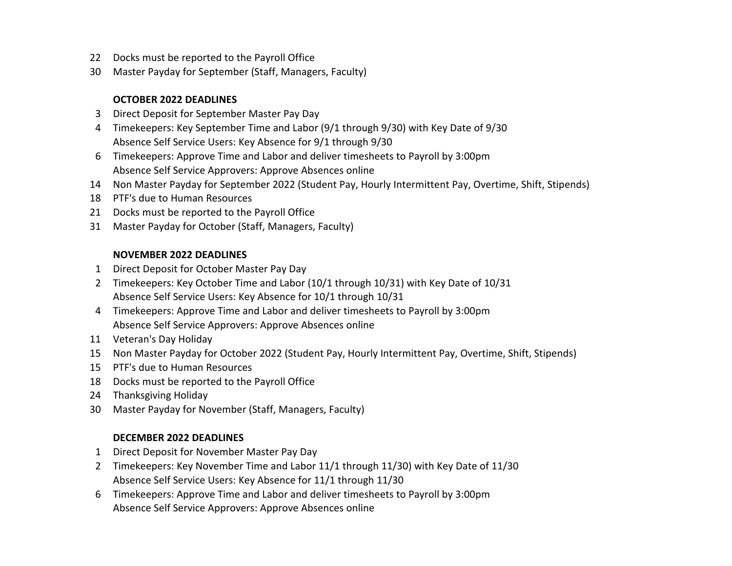- Docks must be reported to the Payroll Office
- Master Payday for September (Staff, Managers, Faculty)

#### **OCTOBER 2022 DEADLINES**

- Direct Deposit for September Master Pay Day
- Timekeepers: Key September Time and Labor (9/1 through 9/30) with Key Date of 9/30 Absence Self Service Users: Key Absence for 9/1 through 9/30
- Timekeepers: Approve Time and Labor and deliver timesheets to Payroll by 3:00pm Absence Self Service Approvers: Approve Absences online
- Non Master Payday for September 2022 (Student Pay, Hourly Intermittent Pay, Overtime, Shift, Stipends)
- PTF's due to Human Resources
- Docks must be reported to the Payroll Office
- Master Payday for October (Staff, Managers, Faculty)

### **NOVEMBER 2022 DEADLINES**

- Direct Deposit for October Master Pay Day
- Timekeepers: Key October Time and Labor (10/1 through 10/31) with Key Date of 10/31 Absence Self Service Users: Key Absence for 10/1 through 10/31
- Timekeepers: Approve Time and Labor and deliver timesheets to Payroll by 3:00pm Absence Self Service Approvers: Approve Absences online
- Veteran's Day Holiday
- Non Master Payday for October 2022 (Student Pay, Hourly Intermittent Pay, Overtime, Shift, Stipends)
- PTF's due to Human Resources
- Docks must be reported to the Payroll Office
- Thanksgiving Holiday
- Master Payday for November (Staff, Managers, Faculty)

### **DECEMBER 2022 DEADLINES**

- Direct Deposit for November Master Pay Day
- Timekeepers: Key November Time and Labor 11/1 through 11/30) with Key Date of 11/30 Absence Self Service Users: Key Absence for 11/1 through 11/30
- Timekeepers: Approve Time and Labor and deliver timesheets to Payroll by 3:00pm Absence Self Service Approvers: Approve Absences online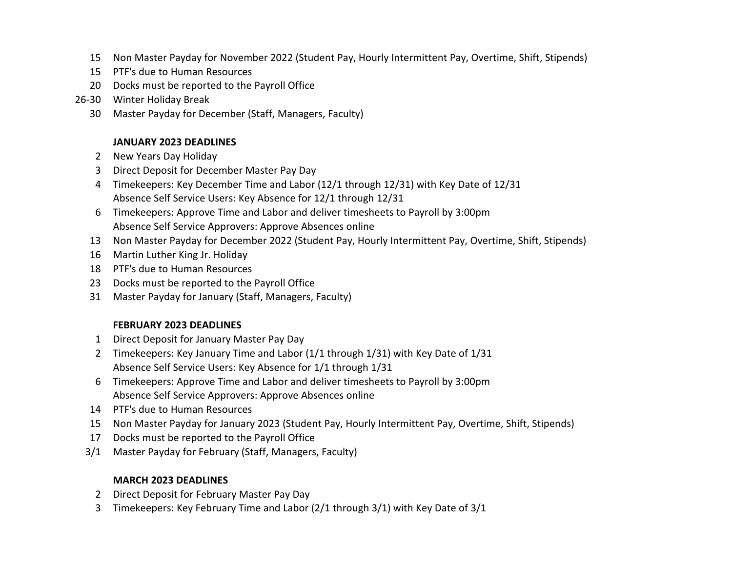- Non Master Payday for November 2022 (Student Pay, Hourly Intermittent Pay, Overtime, Shift, Stipends)
- PTF's due to Human Resources
- Docks must be reported to the Payroll Office
- 26-30 Winter Holiday Break
	- Master Payday for December (Staff, Managers, Faculty)

### **JANUARY 2023 DEADLINES**

- New Years Day Holiday
- Direct Deposit for December Master Pay Day
- Timekeepers: Key December Time and Labor (12/1 through 12/31) with Key Date of 12/31 Absence Self Service Users: Key Absence for 12/1 through 12/31
- Timekeepers: Approve Time and Labor and deliver timesheets to Payroll by 3:00pm Absence Self Service Approvers: Approve Absences online
- Non Master Payday for December 2022 (Student Pay, Hourly Intermittent Pay, Overtime, Shift, Stipends)
- Martin Luther King Jr. Holiday
- PTF's due to Human Resources
- Docks must be reported to the Payroll Office
- Master Payday for January (Staff, Managers, Faculty)

### **FEBRUARY 2023 DEADLINES**

- Direct Deposit for January Master Pay Day
- Timekeepers: Key January Time and Labor (1/1 through 1/31) with Key Date of 1/31 Absence Self Service Users: Key Absence for 1/1 through 1/31
- Timekeepers: Approve Time and Labor and deliver timesheets to Payroll by 3:00pm Absence Self Service Approvers: Approve Absences online
- PTF's due to Human Resources
- Non Master Payday for January 2023 (Student Pay, Hourly Intermittent Pay, Overtime, Shift, Stipends)
- Docks must be reported to the Payroll Office
- 3/1 Master Payday for February (Staff, Managers, Faculty)

# **MARCH 2023 DEADLINES**

- Direct Deposit for February Master Pay Day
- Timekeepers: Key February Time and Labor (2/1 through 3/1) with Key Date of 3/1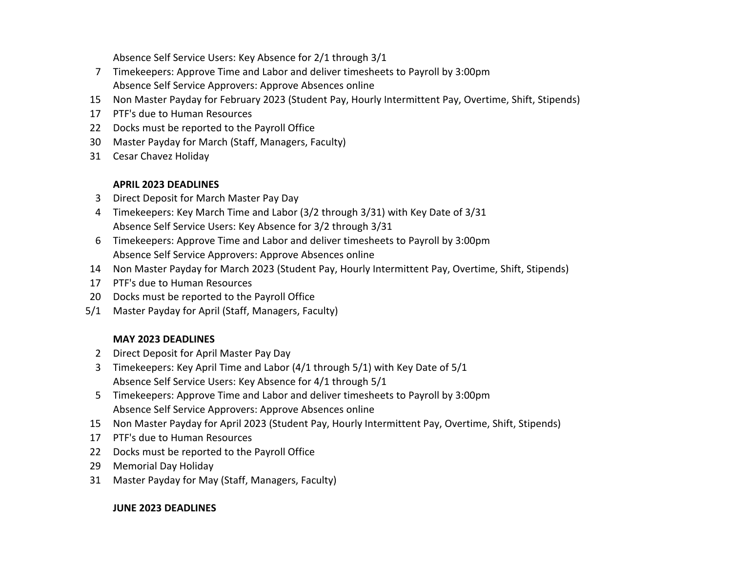Absence Self Service Users: Key Absence for 2/1 through 3/1

- 7 Timekeepers: Approve Time and Labor and deliver timesheets to Payroll by 3:00pm Absence Self Service Approvers: Approve Absences online
- 15 Non Master Payday for February 2023 (Student Pay, Hourly Intermittent Pay, Overtime, Shift, Stipends)
- 17 PTF's due to Human Resources
- 22 Docks must be reported to the Payroll Office
- 30 Master Payday for March (Staff, Managers, Faculty)
- 31 Cesar Chavez Holiday

## **APRIL 2023 DEADLINES**

- 3 Direct Deposit for March Master Pay Day
- 4 Timekeepers: Key March Time and Labor (3/2 through 3/31) with Key Date of 3/31 Absence Self Service Users: Key Absence for 3/2 through 3/31
- 6 Timekeepers: Approve Time and Labor and deliver timesheets to Payroll by 3:00pm Absence Self Service Approvers: Approve Absences online
- 14 Non Master Payday for March 2023 (Student Pay, Hourly Intermittent Pay, Overtime, Shift, Stipends)
- 17 PTF's due to Human Resources
- 20 Docks must be reported to the Payroll Office
- 5/1 Master Payday for April (Staff, Managers, Faculty)

# **MAY 2023 DEADLINES**

- 2 Direct Deposit for April Master Pay Day
- 3 Timekeepers: Key April Time and Labor (4/1 through 5/1) with Key Date of 5/1 Absence Self Service Users: Key Absence for 4/1 through 5/1
- 5 Timekeepers: Approve Time and Labor and deliver timesheets to Payroll by 3:00pm Absence Self Service Approvers: Approve Absences online
- 15 Non Master Payday for April 2023 (Student Pay, Hourly Intermittent Pay, Overtime, Shift, Stipends)
- 17 PTF's due to Human Resources
- 22 Docks must be reported to the Payroll Office
- 29 Memorial Day Holiday
- 31 Master Payday for May (Staff, Managers, Faculty)

# **JUNE 2023 DEADLINES**